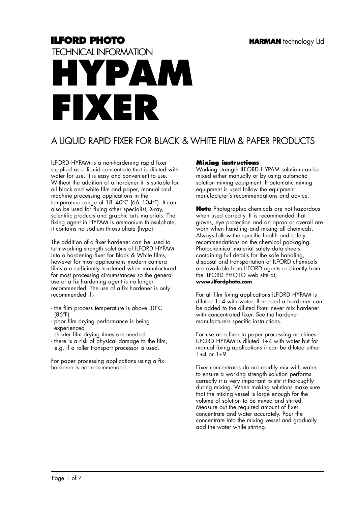# **ILFORD PHOTO** TECHNICAL INFORMATION **HYPAM FIXER**

# A LIQUID RAPID FIXER FOR BLACK & WHITE FILM & PAPER PRODUCTS

ILFORD HYPAM is a non-hardening rapid fixer supplied as a liquid concentrate that is diluted with water for use. It is easy and convenient to use. Without the addition of a hardener it is suitable for all black and white film and paper, manual and machine processing applications in the temperature range of 18–40ºC (66–104ºF). It can also be used for fixing other specialist, X-ray, scientific products and graphic arts materials. The fixing agent in HYPAM is ammonium thiosulphate, it contains no sodium thiosulphate (hypo).

The addition of a fixer hardener can be used to turn working strength solutions of ILFORD HYPAM into a hardening fixer for Black & White films, however for most applications modern camera films are sufficiently hardened when manufactured for most processing circumstances so the general use of a fix hardening agent is no longer recommended. The use of a fix hardener is only recommended if:-

- the film process temperature is above 30ºC (86ºF)
- poor film drying performance is being experienced
- shorter film drying times are needed
- there is a risk of physical damage to the film, e.g. if a roller transport processor is used.

For paper processing applications using a fix hardener is not recommended.

# **Mixing instructions**

Working strength ILFORD HYPAM solution can be mixed either manually or by using automatic solution mixing equipment. If automatic mixing equipment is used follow the equipment manufacturer's recommendations and advice.

**Note** Photographic chemicals are not hazardous when used correctly. It is recommended that gloves, eye protection and an apron or overall are worn when handling and mixing all chemicals. Always follow the specific health and safety recommendations on the chemical packaging. Photochemical material safety data sheets containing full details for the safe handling, disposal and transportation of ILFORD chemicals are available from ILFORD agents or directly from the ILFORD PHOTO web site at; **www.ilfordphoto.com**

For all film fixing applications ILFORD HYPAM is diluted 1+4 with water. If needed a hardener can be added to the diluted fixer, never mix hardener with concentrated fixer. See the hardener manufacturers specific instructions.

For use as a fixer in paper processing machines ILFORD HYPAM is diluted 1+4 with water but for manual fixing applications it can be diluted either  $1+4$  or  $1+9$ .

Fixer concentrates do not readily mix with water, to ensure a working strength solution performs correctly it is very important to stir it thoroughly during mixing. When making solutions make sure that the mixing vessel is large enough for the volume of solution to be mixed and stirred. Measure out the required amount of fixer concentrate and water accurately. Pour the concentrate into the mixing vessel and gradually add the water while stirring.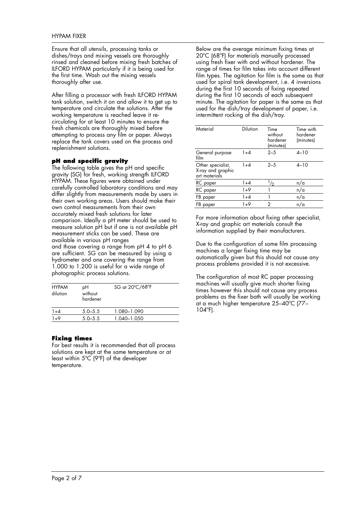# HYPAM FIXER

Ensure that all utensils, processing tanks or dishes/trays and mixing vessels are thoroughly rinsed and cleaned before mixing fresh batches of ILFORD HYPAM particularly if it is being used for the first time. Wash out the mixing vessels thoroughly after use.

After filling a processor with fresh ILFORD HYPAM tank solution, switch it on and allow it to get up to temperature and circulate the solutions. After the working temperature is reached leave it recirculating for at least 10 minutes to ensure the fresh chemicals are thoroughly mixed before attempting to process any film or paper. Always replace the tank covers used on the process and replenishment solutions.

# **pH and specific gravity**

The following table gives the pH and specific gravity (SG) for fresh, working strength ILFORD HYPAM. These figures were obtained under carefully controlled laboratory conditions and may differ slightly from measurements made by users in their own working areas. Users should make their own control measurements from their own accurately mixed fresh solutions for later comparison. Ideally a pH meter should be used to measure solution pH but if one is not available pH measurement sticks can be used. These are available in various pH ranges and those covering a range from pH 4 to pH 6 are sufficient. SG can be measured by using a hydrometer and one covering the range from 1.000 to 1.200 is useful for a wide range of photographic process solutions.

| <b>HYPAM</b><br>dilution | рH<br>without<br>hardener | SG at 20°C/68°F |  |
|--------------------------|---------------------------|-----------------|--|
| $1 + 4$                  | $5.0 - 5.5$               | 1.080-1.090     |  |
| $1 + 9$                  | $5.0 - 5.5$               | 1.040-1.050     |  |

# **Fixing times**

For best results it is recommended that all process solutions are kept at the same temperature or at least within 5ºC (9ºF) of the developer temperature.

Below are the average minimum fixing times at 20ºC (68ºF) for materials manually processed using fresh fixer with and without hardener. The range of times for film takes into account different film types. The agitation for film is the same as that used for spiral tank development, i.e. 4 inversions during the first 10 seconds of fixing repeated during the first 10 seconds of each subsequent minute. The agitation for paper is the same as that used for the dish/tray development of paper, i.e. intermittent rocking of the dish/tray.

| Material                                                | <b>Dilution</b> | Time<br>without<br>hardener<br>(minutes) | Time with<br>hardener<br>(minutes) |
|---------------------------------------------------------|-----------------|------------------------------------------|------------------------------------|
| General purpose<br>film                                 | $1 + 4$         | $2 - 5$                                  | $4 - 10$                           |
| Other specialist,<br>X-ray and graphic<br>art materials | $1 + 4$         | $2 - 5$                                  | $4 - 10$                           |
| RC paper                                                | $1+4$           |                                          | n/a                                |
| RC paper                                                | $1+9$           |                                          | n/a                                |
| FB paper                                                | $1+4$           |                                          | n/a                                |
| FB paper                                                | 1+9             | 2                                        | n/a                                |

For more information about fixing other specialist, X-ray and graphic art materials consult the information supplied by their manufacturers.

Due to the configuration of some film processing machines a longer fixing time may be automatically given but this should not cause any process problems provided it is not excessive.

The configuration of most RC paper processing machines will usually give much shorter fixing times however this should not cause any process problems as the fixer bath will usually be working at a much higher temperature 25–40ºC (77– 104ºF).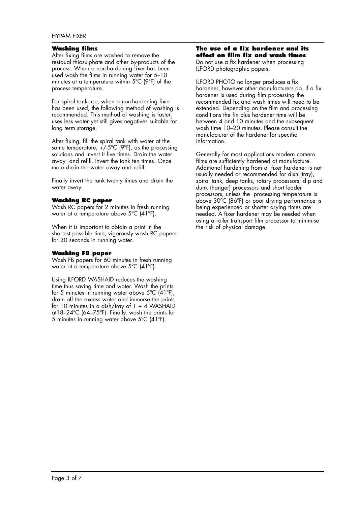# HYPAM FIXER

### **Washing films**

After fixing films are washed to remove the residual thiosulphate and other by-products of the process. When a non-hardening fixer has been used wash the films in running water for 5–10 minutes at a temperature within 5ºC (9ºF) of the process temperature.

For spiral tank use, when a non-hardening fixer has been used, the following method of washing is recommended. This method of washing is faster, uses less water yet still gives negatives suitable for long term storage.

After fixing, fill the spiral tank with water at the same temperature,  $+\sqrt{5}^{\circ}C$  (9°F), as the processing solutions and invert it five times. Drain the water away and refill. Invert the tank ten times. Once more drain the water away and refill.

Finally invert the tank twenty times and drain the water away.

# **Washing RC paper**

Wash RC papers for 2 minutes in fresh running water at a temperature above 5ºC (41ºF).

When it is important to obtain a print in the shortest possible time, vigorously wash RC papers for 30 seconds in running water.

#### **Washing FB paper**

Wash FB papers for 60 minutes in fresh running water at a temperature above 5ºC (41ºF).

Using ILFORD WASHAID reduces the washing time thus saving time and water. Wash the prints for 5 minutes in running water above  $5^{\circ}C$  (41 $^{\circ}F$ ), drain off the excess water and immerse the prints for 10 minutes in a dish/tray of  $1 + 4$  WASHAID at18–24ºC (64–75ºF). Finally, wash the prints for 5 minutes in running water above 5ºC (41ºF).

#### **The use of a fix hardener and its effect on film fix and wash times**

Do not use a fix hardener when processing ILFORD photographic papers.

ILFORD PHOTO no longer produces a fix hardener, however other manufacturers do. If a fix hardener is used during film processing the recommended fix and wash times will need to be extended. Depending on the film and processing conditions the fix plus hardener time will be between 4 and 10 minutes and the subsequent wash time 10–20 minutes. Please consult the manufacturer of the hardener for specific information.

Generally for most applications modern camera films are sufficiently hardened at manufacture. Additional hardening from a fixer hardener is not usually needed or recommended for dish (tray), spiral tank, deep tanks, rotary processors, dip and dunk (hanger) processors and short leader processors, unless the processing temperature is above 30ºC (86ºF) or poor drying performance is being experienced or shorter drying times are needed. A fixer hardener may be needed when using a roller transport film processor to minimise the risk of physical damage.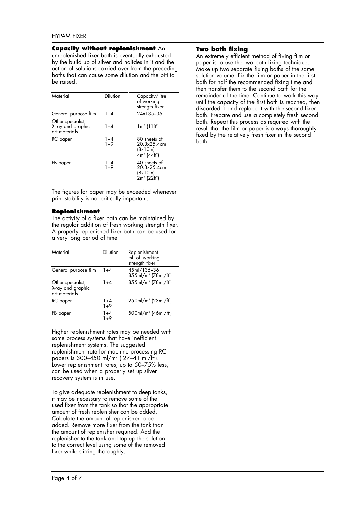# **Capacity without replenishment** An

unreplenished fixer bath is eventually exhausted by the build up of silver and halides in it and the action of solutions carried over from the preceding baths that can cause some dilution and the pH to be raised.

| Material                                                | Dilution     | Capacity/litre<br>of working<br>strength fixer                 |
|---------------------------------------------------------|--------------|----------------------------------------------------------------|
| General purpose film                                    | $1+4$        | 24x135-36                                                      |
| Other specialist,<br>X-ray and graphic<br>art materials | $1 + 4$      | $1 m2$ (11ft <sup>2</sup> )                                    |
| RC paper                                                | 1+4<br>$1+9$ | 80 sheets of<br>20 3x25 4cm<br>(8x10in)<br>$4m^2$ ( $44fr^2$ ) |
| FB paper                                                | 1+4<br>$1+9$ | 40 sheets of<br>20 3x25 4cm<br>(8x10in)<br>$2m^2$ ( $22fr^2$ ) |

The figures for paper may be exceeded whenever print stability is not critically important.

# **Replenishment**

The activity of a fixer bath can be maintained by the regular addition of fresh working strength fixer. A properly replenished fixer bath can be used for a very long period of time

| Material                                                | <b>Dilution</b>  | Replenishment<br>ml of working<br>strength fixer            |
|---------------------------------------------------------|------------------|-------------------------------------------------------------|
| General purpose film                                    | $1 + 4$          | 45ml/135-36<br>855ml/m <sup>2</sup> (78ml/ft <sup>2</sup> ) |
| Other specialist,<br>X-ray and graphic<br>art materials | $1 + 4$          | 855ml/m <sup>2</sup> (78ml/ft <sup>2</sup> )                |
| RC paper                                                | $1 + 4$<br>$1+9$ | 250ml/m <sup>2</sup> (23ml/ft <sup>2</sup> )                |
| FB paper                                                | $1+4$<br>1+9     | 500ml/m <sup>2</sup> (46ml/ft <sup>2</sup> )                |

Higher replenishment rates may be needed with some process systems that have inefficient replenishment systems. The suggested replenishment rate for machine processing RC papers is 300–450 ml/m2 ( 27–41 ml/ft<sup>2</sup> ). Lower replenishment rates, up to 50–75% less, can be used when a properly set up silver recovery system is in use.

To give adequate replenishment to deep tanks, it may be necessary to remove some of the used fixer from the tank so that the appropriate amount of fresh replenisher can be added. Calculate the amount of replenisher to be added. Remove more fixer from the tank than the amount of replenisher required. Add the replenisher to the tank and top up the solution to the correct level using some of the removed fixer while stirring thoroughly.

# **Two bath fixing**

An extremely efficient method of fixing film or paper is to use the two bath fixing technique. Make up two separate fixing baths of the same solution volume. Fix the film or paper in the first bath for half the recommended fixing time and then transfer them to the second bath for the remainder of the time. Continue to work this way until the capacity of the first bath is reached, then discarded it and replace it with the second fixer bath. Prepare and use a completely fresh second bath. Repeat this process as required with the result that the film or paper is always thoroughly fixed by the relatively fresh fixer in the second bath.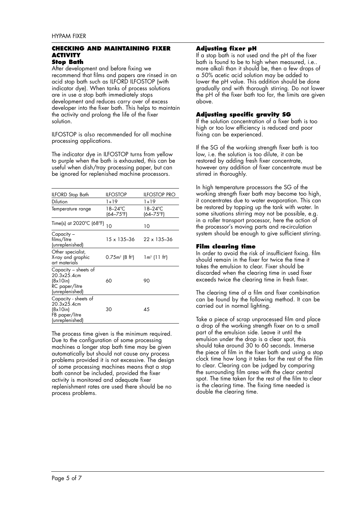#### **CHECKING AND MAINTAINING FIXER ACTIVITY Stop Bath**

After development and before fixing we recommend that films and papers are rinsed in an acid stop bath such as ILFORD ILFOSTOP (with indicator dye). When tanks of process solutions are in use a stop bath immediately stops development and reduces carry over of excess developer into the fixer bath. This helps to maintain the activity and prolong the life of the fixer solution.

ILFOSTOP is also recommended for all machine processing applications.

The indicator dye in ILFOSTOP turns from yellow to purple when the bath is exhausted, this can be useful when dish/tray processing paper, but can be ignored for replenished machine processors.

| <b>ILFORD</b> Stop Bath                                                              | <b>ILFOSTOP</b>                | ILFOSTOP PRO                    |
|--------------------------------------------------------------------------------------|--------------------------------|---------------------------------|
| <b>Dilution</b>                                                                      | 1+19                           | 1+19                            |
| Temperature range                                                                    | 18–24°C<br>(64–75°F)           | 18–24°C<br>$(64 - 75^{\circ}F)$ |
| Time(s) at 2020°C (68°F)                                                             | 10                             | 10                              |
| Capacity –<br>films/litre<br>(unreplenished)                                         | 15 x 135-36                    | $22 \times 135 - 36$            |
| Other specialist,<br>X-ray and graphic<br>art materials                              | $0.75m^2$ (8 ft <sup>2</sup> ) | $1 m2$ (11 ft <sup>2</sup> )    |
| Capacity – sheets of<br>20.3x25.4cm<br>(8x10in)<br>RC paper/litre<br>(unreplenished) | 60                             | 90                              |
| Capacity - sheets of<br>20.3x25.4cm<br>(8x10in)<br>FB paper/litre<br>(unreplenished) | 30                             | 45                              |

The process time given is the minimum required. Due to the configuration of some processing machines a longer stop bath time may be given automatically but should not cause any process problems provided it is not excessive. The design of some processing machines means that a stop bath cannot be included, provided the fixer activity is monitored and adequate fixer replenishment rates are used there should be no process problems.

# **Adjusting fixer pH**

If a stop bath is not used and the pH of the fixer bath is found to be to high when measured, i.e.. more alkali than it should be, then a few drops of a 50% acetic acid solution may be added to lower the pH value. This addition should be done gradually and with thorough stirring. Do not lower the pH of the fixer bath too far, the limits are given above.

# **Adjusting specific gravity SG**

If the solution concentration of a fixer bath is too high or too low efficiency is reduced and poor fixing can be experienced.

If the SG of the working strength fixer bath is too low, i.e. the solution is too dilute, it can be restored by adding fresh fixer concentrate, however any addition of fixer concentrate must be stirred in thoroughly.

In high temperature processors the SG of the working strength fixer bath may become too high, it concentrates due to water evaporation. This can be restored by topping up the tank with water. In some situations stirring may not be possible, e.g. in a roller transport processor, here the action of the processor's moving parts and re-circulation system should be enough to give sufficient stirring.

# **Film clearing time**

In order to avoid the risk of insufficient fixing. film should remain in the fixer for twice the time it takes the emulsion to clear. Fixer should be discarded when the clearing time in used fixer exceeds twice the clearing time in fresh fixer.

The clearing time of a film and fixer combination can be found by the following method. It can be carried out in normal lighting.

Take a piece of scrap unprocessed film and place a drop of the working strength fixer on to a small part of the emulsion side. Leave it until the emulsion under the drop is a clear spot, this should take around 30 to 60 seconds. Immerse the piece of film in the fixer bath and using a stop clock time how long it takes for the rest of the film to clear. Clearing can be judged by comparing the surrounding film area with the clear central spot. The time taken for the rest of the film to clear is the clearing time. The fixing time needed is double the clearing time.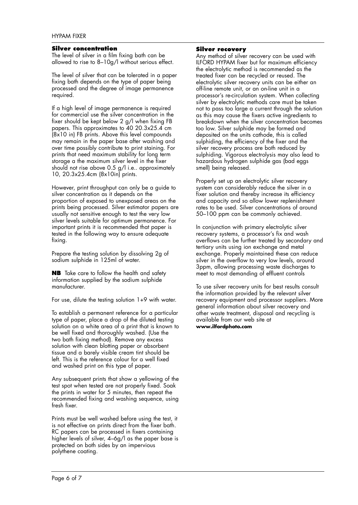### **Silver concentration**

The level of silver in a film fixing bath can be allowed to rise to 8-10g/l without serious effect.

The level of silver that can be tolerated in a paper fixing bath depends on the type of paper being processed and the degree of image permanence required.

If a high level of image permanence is required for commercial use the silver concentration in the fixer should be kept below 2 g/l when fixing FB papers. This approximates to 40 20.3x25.4 cm (8x10 in) FB prints. Above this level compounds may remain in the paper base after washing and over time possibly contribute to print staining. For prints that need maximum stability for long term storage a the maximum silver level in the fixer should not rise above 0.5 g/l i.e.. approximately 10, 20.3x25.4cm (8x10in) prints.

However, print throughput can only be a guide to silver concentration as it depends on the proportion of exposed to unexposed areas on the prints being processed. Silver estimator papers are usually not sensitive enough to test the very low silver levels suitable for optimum permanence. For important prints it is recommended that paper is tested in the following way to ensure adequate fixing.

Prepare the testing solution by dissolving 2g of sodium sulphide in 125ml of water.

**NB** Take care to follow the health and safety information supplied by the sodium sulphide manufacturer.

For use, dilute the testing solution 1+9 with water.

To establish a permanent reference for a particular type of paper, place a drop of the diluted testing solution on a white area of a print that is known to be well fixed and thoroughly washed. (Use the two bath fixing method). Remove any excess solution with clean blotting paper or absorbent tissue and a barely visible cream tint should be left. This is the reference colour for a well fixed and washed print on this type of paper.

Any subsequent prints that show a yellowing of the test spot when tested are not properly fixed. Soak the prints in water for 5 minutes, then repeat the recommended fixing and washing sequence, using fresh fixer.

Prints must be well washed before using the test, it is not effective on prints direct from the fixer bath. RC papers can be processed in fixers containing higher levels of silver, 4–6g/l as the paper base is protected on both sides by an impervious polythene coating.

# **Silver recovery**

Any method of silver recovery can be used with ILFORD HYPAM fixer but for maximum efficiency the electrolytic method is recommended as the treated fixer can be recycled or reused. The electrolytic silver recovery units can be either an off-line remote unit, or an on-line unit in a processor's re-circulation system. When collecting silver by electrolytic methods care must be taken not to pass too large a current through the solution as this may cause the fixers active ingredients to breakdown when the silver concentration becomes too low. Silver sulphide may be formed and deposited on the units cathode, this is called sulphiding, the efficiency of the fixer and the silver recovery process are both reduced by sulphiding. Vigorous electrolysis may also lead to hazardous hydrogen sulphide gas (bad eggs smell) being released.

Properly set up an electrolytic silver recovery system can considerably reduce the silver in a fixer solution and thereby increase its efficiency and capacity and so allow lower replenishment rates to be used. Silver concentrations of around 50–100 ppm can be commonly achieved.

In conjunction with primary electrolytic silver recovery systems, a processor's fix and wash overflows can be further treated by secondary and tertiary units using ion exchange and metal exchange. Properly maintained these can reduce silver in the overflow to very low levels, around 3ppm, allowing processing waste discharges to meet to most demanding of effluent controls

To use silver recovery units for best results consult the information provided by the relevant silver recovery equipment and processor suppliers. More general information about silver recovery and other waste treatment, disposal and recycling is available from our web site at **www.ilfordphoto.com**